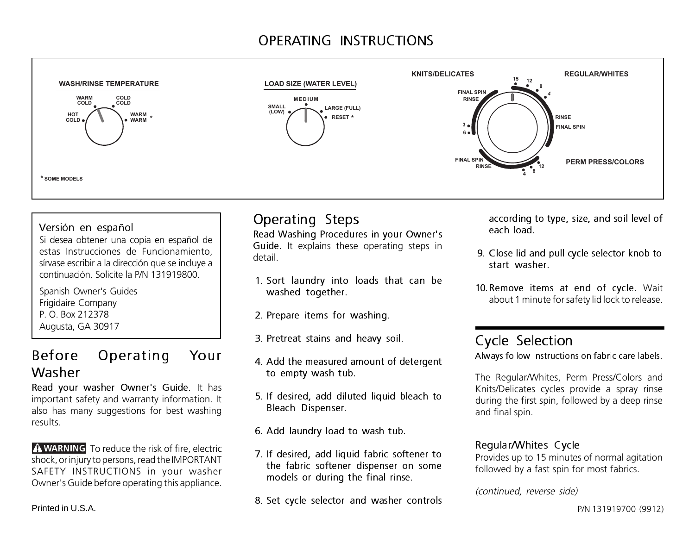## OPERATING INSTRUCTIONS



#### Versión en español

Si desea obtener una copia en español de estas Instrucciones de Funcionamiento, sírvase escribir a la dirección que se incluye a continuación. Solicite la P/N 131919800.

Spanish Owner's Guides Frigidaire Company P. O. Box 212378 Augusta, GA 30917

### Before Operating Your Washer

Read your washer Owner's Guide. It has important safety and warranty information. It also has many suggestions for best washing results.

**A WARNING** To reduce the risk of fire, electric shock, or injury to persons, read the IMPORTANT SAFETY INSTRUCTIONS in your washer Owner's Guide before operating this appliance.

### Operating Steps

Read Washing Procedures in your Owner's Guide. It explains these operating steps in detail.

- 1. Sort laundry into loads that can be washed together.
- 2. Prepare items for washing.
- 3. Pretreat stains and heavy soil.
- 4. Add the measured amount of detergent to empty wash tub.
- 5. If desired, add diluted liquid bleach to Bleach Dispenser.
- 6. Add laundry load to wash tub.
- 7. If desired, add liquid fabric softener to the fabric softener dispenser on some models or during the final rinse.
- 8. Set cycle selector and washer controls

according to type, size, and soil level of each load.

- 9. Close lid and pull cycle selector knob to start washer.
- 10.Remove items at end of cycle. Wait about 1 minute for safety lid lock to release.

### Cycle Selection

Always follow instructions on fabric care labels.

The Regular/Whites, Perm Press/Colors and Knits/Delicates cycles provide a spray rinse during the first spin, followed by a deep rinse and final spin.

#### Regular/Whites Cycle

Provides up to 15 minutes of normal agitation followed by a fast spin for most fabrics.

#### (continued, reverse side)